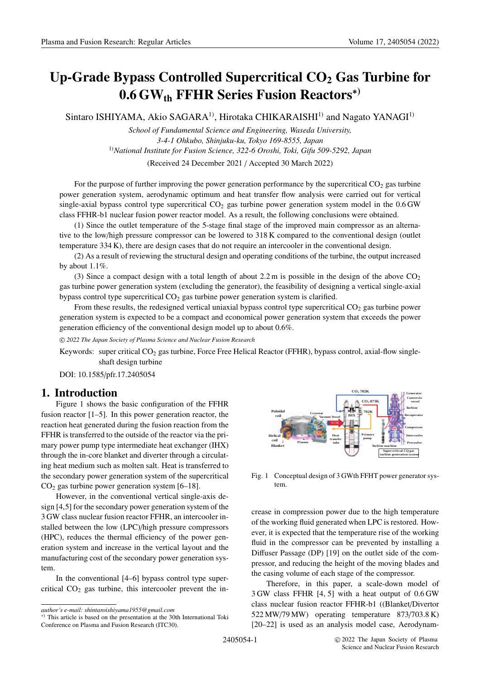# **Up-Grade Bypass Controlled Supercritical CO2 Gas Turbine for 0.6 GWth FFHR Series Fusion Reactors**∗**)**

Sintaro ISHIYAMA, Akio SAGARA<sup>1)</sup>, Hirotaka CHIKARAISHI<sup>1)</sup> and Nagato YANAGI<sup>1)</sup>

*School of Fundamental Science and Engineering, Waseda University, 3-4-1 Ohkubo, Shinjuku-ku, Tokyo 169-8555, Japan* 1)*National Institute for Fusion Science, 322-6 Oroshi, Toki, Gifu 509-5292, Japan* (Received 24 December 2021 / Accepted 30 March 2022)

For the purpose of further improving the power generation performance by the supercritical  $CO<sub>2</sub>$  gas turbine power generation system, aerodynamic optimum and heat transfer flow analysis were carried out for vertical single-axial bypass control type supercritical  $CO<sub>2</sub>$  gas turbine power generation system model in the  $0.6$  GW class FFHR-b1 nuclear fusion power reactor model. As a result, the following conclusions were obtained.

(1) Since the outlet temperature of the 5-stage final stage of the improved main compressor as an alternative to the low/high pressure compressor can be lowered to 318 K compared to the conventional design (outlet temperature 334 K), there are design cases that do not require an intercooler in the conventional design.

(2) As a result of reviewing the structural design and operating conditions of the turbine, the output increased by about 1.1%.

(3) Since a compact design with a total length of about 2.2 m is possible in the design of the above  $CO<sub>2</sub>$ gas turbine power generation system (excluding the generator), the feasibility of designing a vertical single-axial bypass control type supercritical  $CO<sub>2</sub>$  gas turbine power generation system is clarified.

From these results, the redesigned vertical uniaxial bypass control type supercritical  $CO<sub>2</sub>$  gas turbine power generation system is expected to be a compact and economical power generation system that exceeds the power generation efficiency of the conventional design model up to about 0.6%.

-c *2022 The Japan Society of Plasma Science and Nuclear Fusion Research*

Keywords: super critical  $CO<sub>2</sub>$  gas turbine, Force Free Helical Reactor (FFHR), bypass control, axial-flow singleshaft design turbine

DOI: 10.1585/pfr.17.2405054

## **1. Introduction**

Figure 1 shows the basic configuration of the FFHR fusion reactor [1–5]. In this power generation reactor, the reaction heat generated during the fusion reaction from the FFHR is transferred to the outside of the reactor via the primary power pump type intermediate heat exchanger (IHX) through the in-core blanket and diverter through a circulating heat medium such as molten salt. Heat is transferred to the secondary power generation system of the supercritical  $CO<sub>2</sub>$  gas turbine power generation system [6–18].

However, in the conventional vertical single-axis design [4,5] for the secondary power generation system of the 3 GW class nuclear fusion reactor FFHR, an intercooler installed between the low (LPC)/high pressure compressors (HPC), reduces the thermal efficiency of the power generation system and increase in the vertical layout and the manufacturing cost of the secondary power generation system.

In the conventional [4–6] bypass control type supercritical  $CO<sub>2</sub>$  gas turbine, this intercooler prevent the in-



Fig. 1 Conceptual design of 3 GWth FFHT power generator system.

crease in compression power due to the high temperature of the working fluid generated when LPC is restored. However, it is expected that the temperature rise of the working fluid in the compressor can be prevented by installing a Diffuser Passage (DP) [19] on the outlet side of the compressor, and reducing the height of the moving blades and the casing volume of each stage of the compressor.

Therefore, in this paper, a scale-down model of 3 GW class FFHR [4, 5] with a heat output of 0.6 GW class nuclear fusion reactor FFHR-b1 ((Blanket/Divertor 522 MW/79 MW) operating temperature 873/703.8 K) [20–22] is used as an analysis model case, Aerodynam-

*author's e-mail: shintaroishiyama1955@gmail.com*

<sup>∗</sup>) This article is based on the presentation at the 30th International Toki Conference on Plasma and Fusion Research (ITC30).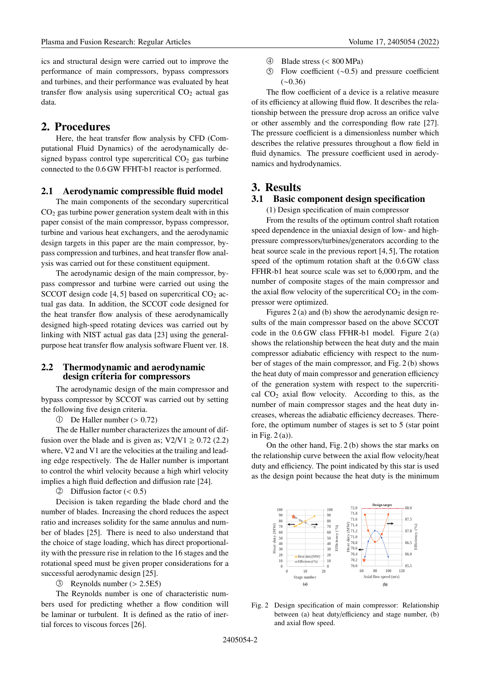ics and structural design were carried out to improve the performance of main compressors, bypass compressors and turbines, and their performance was evaluated by heat transfer flow analysis using supercritical  $CO<sub>2</sub>$  actual gas data.

## **2. Procedures**

Here, the heat transfer flow analysis by CFD (Computational Fluid Dynamics) of the aerodynamically designed bypass control type supercritical  $CO<sub>2</sub>$  gas turbine connected to the 0.6 GW FFHT-b1 reactor is performed.

#### **2.1 Aerodynamic compressible fluid model**

The main components of the secondary supercritical  $CO<sub>2</sub>$  gas turbine power generation system dealt with in this paper consist of the main compressor, bypass compressor, turbine and various heat exchangers, and the aerodynamic design targets in this paper are the main compressor, bypass compression and turbines, and heat transfer flow analysis was carried out for these constituent equipment.

The aerodynamic design of the main compressor, bypass compressor and turbine were carried out using the SCCOT design code  $[4, 5]$  based on supercritical CO<sub>2</sub> actual gas data. In addition, the SCCOT code designed for the heat transfer flow analysis of these aerodynamically designed high-speed rotating devices was carried out by linking with NIST actual gas data [23] using the generalpurpose heat transfer flow analysis software Fluent ver. 18.

## **2.2 Thermodynamic and aerodynamic design criteria for compressors**

The aerodynamic design of the main compressor and bypass compressor by SCCOT was carried out by setting the following five design criteria.

 $\textcircled{1}$  De Haller number (> 0.72)

The de Haller number characterizes the amount of diffusion over the blade and is given as;  $V2/V1 \ge 0.72$  (2.2) where, V2 and V1 are the velocities at the trailing and leading edge respectively. The de Haller number is important to control the whirl velocity because a high whirl velocity implies a high fluid deflection and diffusion rate [24].

 $\oslash$  Diffusion factor (< 0.5)

Decision is taken regarding the blade chord and the number of blades. Increasing the chord reduces the aspect ratio and increases solidity for the same annulus and number of blades [25]. There is need to also understand that the choice of stage loading, which has direct proportionality with the pressure rise in relation to the 16 stages and the rotational speed must be given proper considerations for a successful aerodynamic design [25].

-3 Reynolds number (> 2.5E5)

The Reynolds number is one of characteristic numbers used for predicting whether a flow condition will be laminar or turbulent. It is defined as the ratio of inertial forces to viscous forces [26].

- $\circled{4}$ 4 Blade stress (< 800 MPa)
- $(5)$ Flow coefficient  $(∼0.5)$  and pressure coefficient (∼0.36)

The flow coefficient of a device is a relative measure of its efficiency at allowing fluid flow. It describes the relationship between the pressure drop across an orifice valve or other assembly and the corresponding flow rate [27]. The pressure coefficient is a dimensionless number which describes the relative pressures throughout a flow field in fluid dynamics. The pressure coefficient used in aerodynamics and hydrodynamics.

## **3. Results**

### **3.1 Basic component design specification**

(1) Design specification of main compressor

From the results of the optimum control shaft rotation speed dependence in the uniaxial design of low- and highpressure compressors/turbines/generators according to the heat source scale in the previous report [4, 5], The rotation speed of the optimum rotation shaft at the 0.6 GW class FFHR-b1 heat source scale was set to 6,000 rpm, and the number of composite stages of the main compressor and the axial flow velocity of the supercritical  $CO<sub>2</sub>$  in the compressor were optimized.

Figures 2 (a) and (b) show the aerodynamic design results of the main compressor based on the above SCCOT code in the  $0.6$  GW class FFHR-b1 model. Figure  $2(a)$ shows the relationship between the heat duty and the main compressor adiabatic efficiency with respect to the number of stages of the main compressor, and Fig. 2 (b) shows the heat duty of main compressor and generation efficiency of the generation system with respect to the supercritical  $CO<sub>2</sub>$  axial flow velocity. According to this, as the number of main compressor stages and the heat duty increases, whereas the adiabatic efficiency decreases. Therefore, the optimum number of stages is set to 5 (star point in Fig. 2 (a)).

On the other hand, Fig. 2 (b) shows the star marks on the relationship curve between the axial flow velocity/heat duty and efficiency. The point indicated by this star is used as the design point because the heat duty is the minimum



Fig. 2 Design specification of main compressor: Relationship between (a) heat duty/efficiency and stage number, (b) and axial flow speed.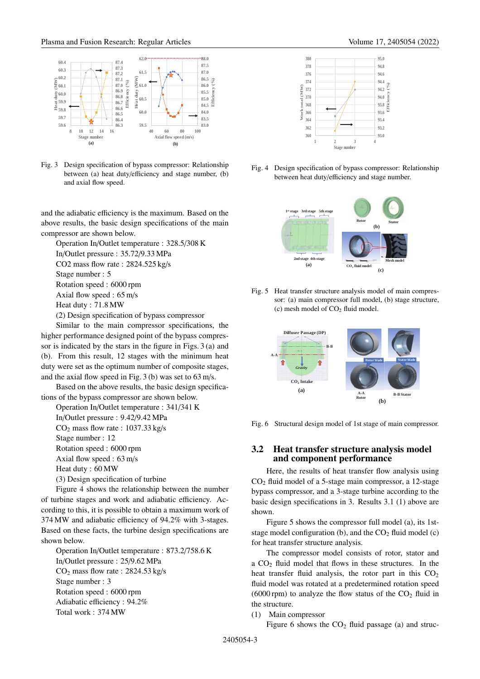

Fig. 3 Design specification of bypass compressor: Relationship between (a) heat duty/efficiency and stage number, (b) and axial flow speed.

and the adiabatic efficiency is the maximum. Based on the above results, the basic design specifications of the main compressor are shown below.

Operation In/Outlet temperature : 328.5/308 K In/Outlet pressure : 35.72/9.33 MPa CO2 mass flow rate : 2824.525 kg/s Stage number : 5 Rotation speed : 6000 rpm Axial flow speed : 65 m/s

Heat duty : 71.8 MW

(2) Design specification of bypass compressor

Similar to the main compressor specifications, the higher performance designed point of the bypass compressor is indicated by the stars in the figure in Figs. 3 (a) and (b). From this result, 12 stages with the minimum heat duty were set as the optimum number of composite stages, and the axial flow speed in Fig. 3 (b) was set to 63 m/s.

Based on the above results, the basic design specifications of the bypass compressor are shown below.

Operation In/Outlet temperature : 341/341 K In/Outlet pressure : 9.42/9.42 MPa  $CO<sub>2</sub>$  mass flow rate : 1037.33 kg/s Stage number : 12

Rotation speed : 6000 rpm

Axial flow speed : 63 m/s

Heat duty : 60 MW

(3) Design specification of turbine

Figure 4 shows the relationship between the number of turbine stages and work and adiabatic efficiency. According to this, it is possible to obtain a maximum work of 374 MW and adiabatic efficiency of 94.2% with 3-stages. Based on these facts, the turbine design specifications are shown below.

Operation In/Outlet temperature : 873.2/758.6 K In/Outlet pressure : 25/9.62 MPa  $CO<sub>2</sub>$  mass flow rate : 2824.53 kg/s Stage number : 3 Rotation speed : 6000 rpm Adiabatic efficiency : 94.2% Total work : 374 MW



Fig. 4 Design specification of bypass compressor: Relationship between heat duty/efficiency and stage number.



Fig. 5 Heat transfer structure analysis model of main compressor: (a) main compressor full model, (b) stage structure, (c) mesh model of  $CO<sub>2</sub>$  fluid model.



Fig. 6 Structural design model of 1st stage of main compressor.

### **3.2 Heat transfer structure analysis model and component performance**

Here, the results of heat transfer flow analysis using  $CO<sub>2</sub>$  fluid model of a 5-stage main compressor, a 12-stage bypass compressor, and a 3-stage turbine according to the basic design specifications in 3. Results 3.1 (1) above are shown.

Figure 5 shows the compressor full model (a), its 1ststage model configuration (b), and the  $CO<sub>2</sub>$  fluid model (c) for heat transfer structure analysis.

The compressor model consists of rotor, stator and a  $CO<sub>2</sub>$  fluid model that flows in these structures. In the heat transfer fluid analysis, the rotor part in this  $CO<sub>2</sub>$ fluid model was rotated at a predetermined rotation speed (6000 rpm) to analyze the flow status of the  $CO<sub>2</sub>$  fluid in the structure.

(1) Main compressor

Figure 6 shows the  $CO<sub>2</sub>$  fluid passage (a) and struc-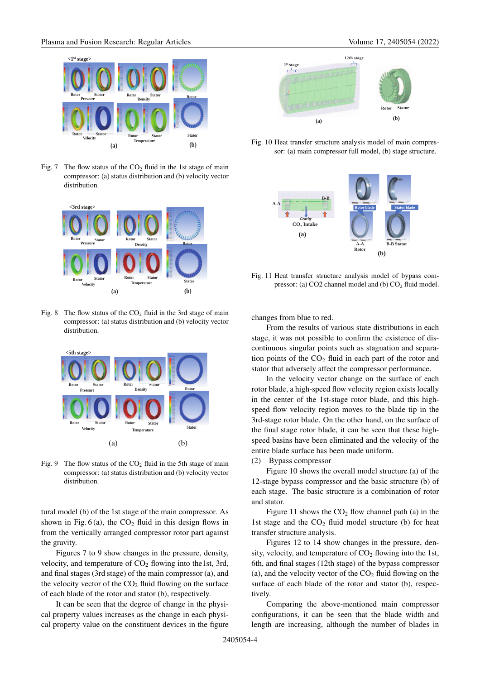

Fig. 7 The flow status of the  $CO<sub>2</sub>$  fluid in the 1st stage of main compressor: (a) status distribution and (b) velocity vector distribution.



Fig. 8 The flow status of the  $CO<sub>2</sub>$  fluid in the 3rd stage of main compressor: (a) status distribution and (b) velocity vector distribution.



Fig. 9 The flow status of the  $CO<sub>2</sub>$  fluid in the 5th stage of main compressor: (a) status distribution and (b) velocity vector distribution.

tural model (b) of the 1st stage of the main compressor. As shown in Fig.  $6(a)$ , the CO<sub>2</sub> fluid in this design flows in from the vertically arranged compressor rotor part against the gravity.

Figures 7 to 9 show changes in the pressure, density, velocity, and temperature of  $CO<sub>2</sub>$  flowing into the1st, 3rd, and final stages (3rd stage) of the main compressor (a), and the velocity vector of the  $CO<sub>2</sub>$  fluid flowing on the surface of each blade of the rotor and stator (b), respectively.

It can be seen that the degree of change in the physical property values increases as the change in each physical property value on the constituent devices in the figure



Fig. 10 Heat transfer structure analysis model of main compressor: (a) main compressor full model, (b) stage structure.



Fig. 11 Heat transfer structure analysis model of bypass compressor: (a)  $CO2$  channel model and (b)  $CO<sub>2</sub>$  fluid model.

changes from blue to red.

From the results of various state distributions in each stage, it was not possible to confirm the existence of discontinuous singular points such as stagnation and separation points of the  $CO<sub>2</sub>$  fluid in each part of the rotor and stator that adversely affect the compressor performance.

In the velocity vector change on the surface of each rotor blade, a high-speed flow velocity region exists locally in the center of the 1st-stage rotor blade, and this highspeed flow velocity region moves to the blade tip in the 3rd-stage rotor blade. On the other hand, on the surface of the final stage rotor blade, it can be seen that these highspeed basins have been eliminated and the velocity of the entire blade surface has been made uniform.

(2) Bypass compressor

Figure 10 shows the overall model structure (a) of the 12-stage bypass compressor and the basic structure (b) of each stage. The basic structure is a combination of rotor and stator.

Figure 11 shows the  $CO<sub>2</sub>$  flow channel path (a) in the 1st stage and the  $CO<sub>2</sub>$  fluid model structure (b) for heat transfer structure analysis.

Figures 12 to 14 show changes in the pressure, density, velocity, and temperature of  $CO<sub>2</sub>$  flowing into the 1st, 6th, and final stages (12th stage) of the bypass compressor (a), and the velocity vector of the  $CO<sub>2</sub>$  fluid flowing on the surface of each blade of the rotor and stator (b), respectively.

Comparing the above-mentioned main compressor configurations, it can be seen that the blade width and length are increasing, although the number of blades in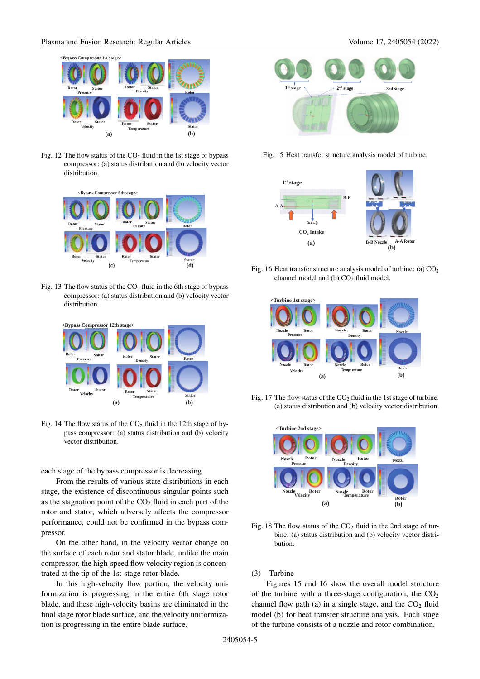Fig. 12 The flow status of the  $CO<sub>2</sub>$  fluid in the 1st stage of bypass compressor: (a) status distribution and (b) velocity vector distribution.



Fig. 13 The flow status of the  $CO<sub>2</sub>$  fluid in the 6th stage of bypass compressor: (a) status distribution and (b) velocity vector distribution.



Fig. 14 The flow status of the  $CO<sub>2</sub>$  fluid in the 12th stage of bypass compressor: (a) status distribution and (b) velocity vector distribution.

each stage of the bypass compressor is decreasing.

From the results of various state distributions in each stage, the existence of discontinuous singular points such as the stagnation point of the  $CO<sub>2</sub>$  fluid in each part of the rotor and stator, which adversely affects the compressor performance, could not be confirmed in the bypass compressor.

On the other hand, in the velocity vector change on the surface of each rotor and stator blade, unlike the main compressor, the high-speed flow velocity region is concentrated at the tip of the 1st-stage rotor blade.

In this high-velocity flow portion, the velocity uniformization is progressing in the entire 6th stage rotor blade, and these high-velocity basins are eliminated in the final stage rotor blade surface, and the velocity uniformization is progressing in the entire blade surface.



Fig. 15 Heat transfer structure analysis model of turbine.



Fig. 16 Heat transfer structure analysis model of turbine: (a)  $CO<sub>2</sub>$ channel model and (b)  $CO<sub>2</sub>$  fluid model.



Fig. 17 The flow status of the  $CO<sub>2</sub>$  fluid in the 1st stage of turbine: (a) status distribution and (b) velocity vector distribution.



Fig. 18 The flow status of the  $CO<sub>2</sub>$  fluid in the 2nd stage of turbine: (a) status distribution and (b) velocity vector distribution.

(3) Turbine

Figures 15 and 16 show the overall model structure of the turbine with a three-stage configuration, the  $CO<sub>2</sub>$ channel flow path (a) in a single stage, and the  $CO<sub>2</sub>$  fluid model (b) for heat transfer structure analysis. Each stage of the turbine consists of a nozzle and rotor combination.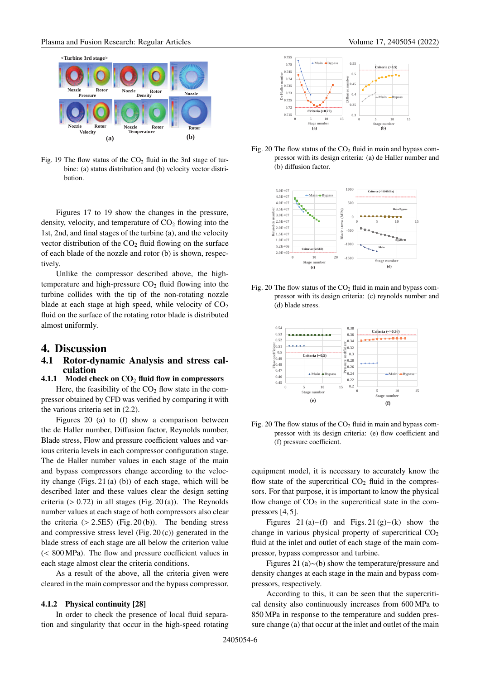

Fig. 19 The flow status of the  $CO<sub>2</sub>$  fluid in the 3rd stage of turbine: (a) status distribution and (b) velocity vector distribution.

Figures 17 to 19 show the changes in the pressure, density, velocity, and temperature of  $CO<sub>2</sub>$  flowing into the 1st, 2nd, and final stages of the turbine (a), and the velocity vector distribution of the  $CO<sub>2</sub>$  fluid flowing on the surface of each blade of the nozzle and rotor (b) is shown, respectively.

Unlike the compressor described above, the hightemperature and high-pressure  $CO<sub>2</sub>$  fluid flowing into the turbine collides with the tip of the non-rotating nozzle blade at each stage at high speed, while velocity of  $CO<sub>2</sub>$ fluid on the surface of the rotating rotor blade is distributed almost uniformly.

## **4. Discussion**

### **4.1 Rotor-dynamic Analysis and stress calculation**

## **4.1.1 Model check on CO**<sup>2</sup> **fluid flow in compressors**

Here, the feasibility of the  $CO<sub>2</sub>$  flow state in the compressor obtained by CFD was verified by comparing it with the various criteria set in (2.2).

Figures 20 (a) to (f) show a comparison between the de Haller number, Diffusion factor, Reynolds number, Blade stress, Flow and pressure coefficient values and various criteria levels in each compressor configuration stage. The de Haller number values in each stage of the main and bypass compressors change according to the velocity change (Figs. 21 (a) (b)) of each stage, which will be described later and these values clear the design setting criteria ( $> 0.72$ ) in all stages (Fig. 20(a)). The Reynolds number values at each stage of both compressors also clear the criteria  $(> 2.5E5)$  (Fig. 20(b)). The bending stress and compressive stress level (Fig. 20 (c)) generated in the blade stress of each stage are all below the criterion value (< 800 MPa). The flow and pressure coefficient values in each stage almost clear the criteria conditions.

As a result of the above, all the criteria given were cleared in the main compressor and the bypass compressor.

### **4.1.2 Physical continuity [28]**

In order to check the presence of local fluid separation and singularity that occur in the high-speed rotating



Fig. 20 The flow status of the  $CO<sub>2</sub>$  fluid in main and bypass compressor with its design criteria: (a) de Haller number and (b) diffusion factor.



Fig. 20 The flow status of the  $CO<sub>2</sub>$  fluid in main and bypass compressor with its design criteria: (c) reynolds number and (d) blade stress.



Fig. 20 The flow status of the  $CO<sub>2</sub>$  fluid in main and bypass compressor with its design criteria: (e) flow coefficient and (f) pressure coefficient.

equipment model, it is necessary to accurately know the flow state of the supercritical  $CO<sub>2</sub>$  fluid in the compressors. For that purpose, it is important to know the physical flow change of  $CO<sub>2</sub>$  in the supercritical state in the compressors [4, 5].

Figures 21 (a)∼(f) and Figs. 21 (g)∼(k) show the change in various physical property of supercritical  $CO<sub>2</sub>$ fluid at the inlet and outlet of each stage of the main compressor, bypass compressor and turbine.

Figures 21 (a)∼(b) show the temperature/pressure and density changes at each stage in the main and bypass compressors, respectively.

According to this, it can be seen that the supercritical density also continuously increases from 600 MPa to 850 MPa in response to the temperature and sudden pressure change (a) that occur at the inlet and outlet of the main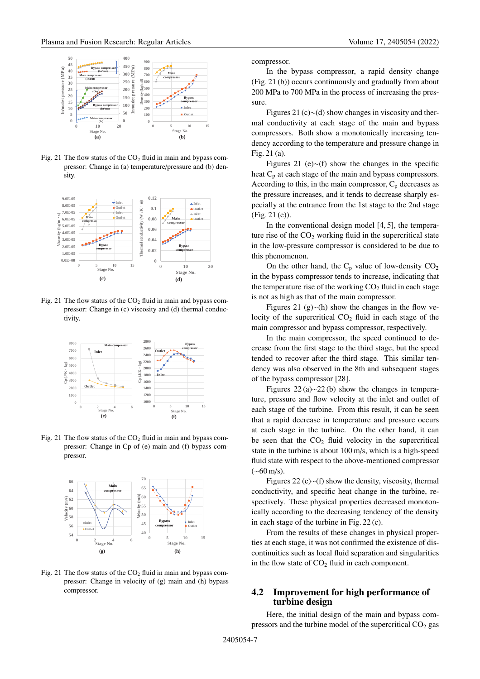

Fig. 21 The flow status of the  $CO<sub>2</sub>$  fluid in main and bypass compressor: Change in (a) temperature/pressure and (b) density.



Fig. 21 The flow status of the  $CO<sub>2</sub>$  fluid in main and bypass compressor: Change in (c) viscosity and (d) thermal conductivity.



Fig. 21 The flow status of the  $CO<sub>2</sub>$  fluid in main and bypass compressor: Change in Cp of (e) main and (f) bypass compressor.



Fig. 21 The flow status of the  $CO<sub>2</sub>$  fluid in main and bypass compressor: Change in velocity of (g) main and (h) bypass compressor.

compressor.

In the bypass compressor, a rapid density change (Fig. 21 (b)) occurs continuously and gradually from about 200 MPa to 700 MPa in the process of increasing the pressure.

Figures 21 (c)∼(d) show changes in viscosity and thermal conductivity at each stage of the main and bypass compressors. Both show a monotonically increasing tendency according to the temperature and pressure change in Fig. 21 (a).

Figures 21 (e)∼(f) show the changes in the specific heat  $C_p$  at each stage of the main and bypass compressors. According to this, in the main compressor,  $C_p$  decreases as the pressure increases, and it tends to decrease sharply especially at the entrance from the 1st stage to the 2nd stage (Fig. 21 (e)).

In the conventional design model [4, 5], the temperature rise of the  $CO<sub>2</sub>$  working fluid in the supercritical state in the low-pressure compressor is considered to be due to this phenomenon.

On the other hand, the  $C_p$  value of low-density  $CO_2$ in the bypass compressor tends to increase, indicating that the temperature rise of the working  $CO<sub>2</sub>$  fluid in each stage is not as high as that of the main compressor.

Figures 21 (g)∼(h) show the changes in the flow velocity of the supercritical  $CO<sub>2</sub>$  fluid in each stage of the main compressor and bypass compressor, respectively.

In the main compressor, the speed continued to decrease from the first stage to the third stage, but the speed tended to recover after the third stage. This similar tendency was also observed in the 8th and subsequent stages of the bypass compressor [28].

Figures 22 (a)∼22 (b) show the changes in temperature, pressure and flow velocity at the inlet and outlet of each stage of the turbine. From this result, it can be seen that a rapid decrease in temperature and pressure occurs at each stage in the turbine. On the other hand, it can be seen that the  $CO<sub>2</sub>$  fluid velocity in the supercritical state in the turbine is about 100 m/s, which is a high-speed fluid state with respect to the above-mentioned compressor  $({\sim}60 \,\text{m/s})$ .

Figures 22 (c)∼(f) show the density, viscosity, thermal conductivity, and specific heat change in the turbine, respectively. These physical properties decreased monotonically according to the decreasing tendency of the density in each stage of the turbine in Fig. 22 (c).

From the results of these changes in physical properties at each stage, it was not confirmed the existence of discontinuities such as local fluid separation and singularities in the flow state of  $CO<sub>2</sub>$  fluid in each component.

### **4.2 Improvement for high performance of turbine design**

Here, the initial design of the main and bypass compressors and the turbine model of the supercritical  $CO<sub>2</sub>$  gas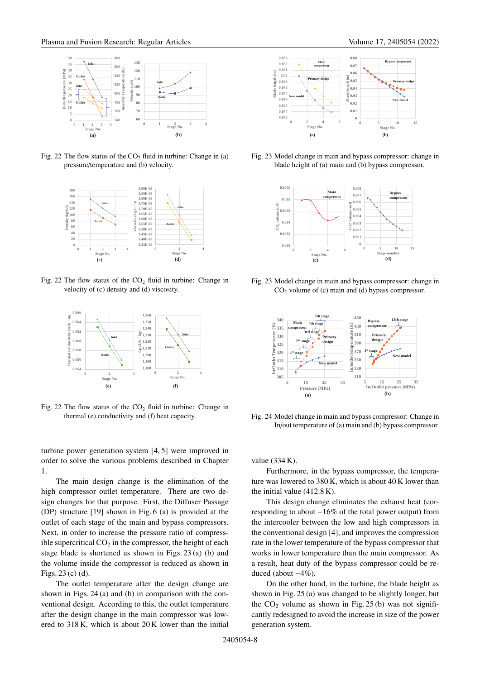

Fig. 22 The flow status of the  $CO<sub>2</sub>$  fluid in turbine: Change in (a) pressure/temperature and (b) velocity.



Fig. 22 The flow status of the  $CO<sub>2</sub>$  fluid in turbine: Change in velocity of (c) density and (d) viscosity.



Fig. 22 The flow status of the  $CO<sub>2</sub>$  fluid in turbine: Change in thermal (e) conductivity and (f) heat capacity.

turbine power generation system [4, 5] were improved in order to solve the various problems described in Chapter 1.

The main design change is the elimination of the high compressor outlet temperature. There are two design changes for that purpose. First, the Diffuser Passage (DP) structure [19] shown in Fig. 6 (a) is provided at the outlet of each stage of the main and bypass compressors. Next, in order to increase the pressure ratio of compressible supercritical  $CO<sub>2</sub>$  in the compressor, the height of each stage blade is shortened as shown in Figs. 23 (a) (b) and the volume inside the compressor is reduced as shown in Figs. 23 (c) (d).

The outlet temperature after the design change are shown in Figs. 24 (a) and (b) in comparison with the conventional design. According to this, the outlet temperature after the design change in the main compressor was lowered to 318 K, which is about 20 K lower than the initial



Fig. 23 Model change in main and bypass compressor: change in blade height of (a) main and (b) bypass compressor.



Fig. 23 Model change in main and bypass compressor: change in CO2 volume of (c) main and (d) bypass compressor.



Fig. 24 Model change in main and bypass compressor: Change in In/out temperature of (a) main and (b) bypass compressor.

value (334 K).

Furthermore, in the bypass compressor, the temperature was lowered to 380 K, which is about 40 K lower than the initial value (412.8 K).

This design change eliminates the exhaust heat (corresponding to about −16% of the total power output) from the intercooler between the low and high compressors in the conventional design [4], and improves the compression rate in the lower temperature of the bypass compressor that works in lower temperature than the main compressor. As a result, heat duty of the bypass compressor could be reduced (about −4%).

On the other hand, in the turbine, the blade height as shown in Fig. 25 (a) was changed to be slightly longer, but the  $CO<sub>2</sub>$  volume as shown in Fig. 25(b) was not significantly redesigned to avoid the increase in size of the power generation system.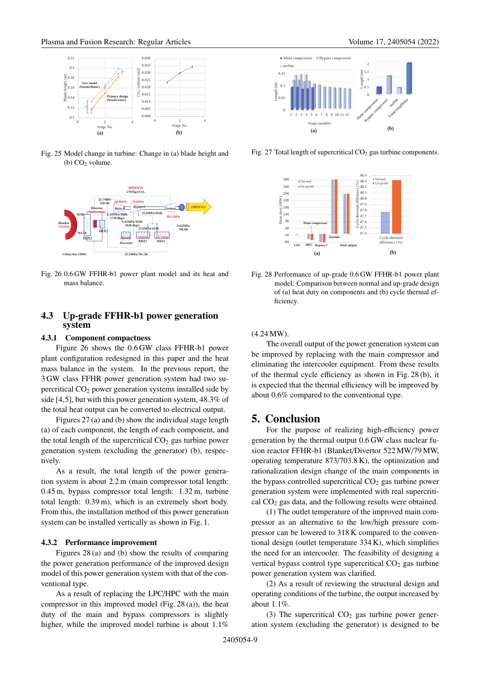

Fig. 25 Model change in turbine: Change in (a) blade height and (b)  $CO<sub>2</sub>$  volume.



Fig. 26 0.6 GW FFHR-b1 power plant model and its heat and mass balance.

### **4.3 Up-grade FFHR-b1 power generation system**

#### **4.3.1 Component compactness**

Figure 26 shows the 0.6 GW class FFHR-b1 power plant configuration redesigned in this paper and the heat mass balance in the system. In the previous report, the 3 GW class FFHR power generation system had two supercritical  $CO<sub>2</sub>$  power generation systems installed side by side [4,5], but with this power generation system, 48.3% of the total heat output can be converted to electrical output.

Figures 27 (a) and (b) show the individual stage length (a) of each component, the length of each component, and the total length of the supercritical  $CO<sub>2</sub>$  gas turbine power generation system (excluding the generator) (b), respectively.

As a result, the total length of the power generation system is about 2.2 m (main compressor total length: 0.45 m, bypass compressor total length: 1.32 m, turbine total length: 0.39 m), which is an extremely short body. From this, the installation method of this power generation system can be installed vertically as shown in Fig. 1.

#### **4.3.2 Performance improvement**

Figures 28 (a) and (b) show the results of comparing the power generation performance of the improved design model of this power generation system with that of the conventional type.

As a result of replacing the LPC/HPC with the main compressor in this improved model (Fig. 28 (a)), the heat duty of the main and bypass compressors is slightly higher, while the improved model turbine is about  $1.1\%$ 



Fig. 27 Total length of supercritical  $CO<sub>2</sub>$  gas turbine components.



Fig. 28 Performance of up-grade 0.6 GW FFHR-b1 power plant model: Comparison between normal and up-grade design of (a) heat duty on components and (b) cycle thermal efficiency.

(4.24 MW).

The overall output of the power generation system can be improved by replacing with the main compressor and eliminating the intercooler equipment. From these results of the thermal cycle efficiency as shown in Fig. 28 (b), it is expected that the thermal efficiency will be improved by about 0.6% compared to the conventional type.

## **5. Conclusion**

For the purpose of realizing high-efficiency power generation by the thermal output 0.6 GW class nuclear fusion reactor FFHR-b1 (Blanket/Divertor 522 MW/79 MW, operating temperature 873/703.8 K), the optimization and rationalization design change of the main components in the bypass controlled supercritical  $CO<sub>2</sub>$  gas turbine power generation system were implemented with real supercritical  $CO<sub>2</sub>$  gas data, and the following results were obtained.

(1) The outlet temperature of the improved main compressor as an alternative to the low/high pressure compressor can be lowered to 318 K compared to the conventional design (outlet temperature 334 K), which simplifies the need for an intercooler. The feasibility of designing a vertical bypass control type supercritical  $CO<sub>2</sub>$  gas turbine power generation system was clarified.

(2) As a result of reviewing the structural design and operating conditions of the turbine, the output increased by about 1.1%.

(3) The supercritical  $CO<sub>2</sub>$  gas turbine power generation system (excluding the generator) is designed to be